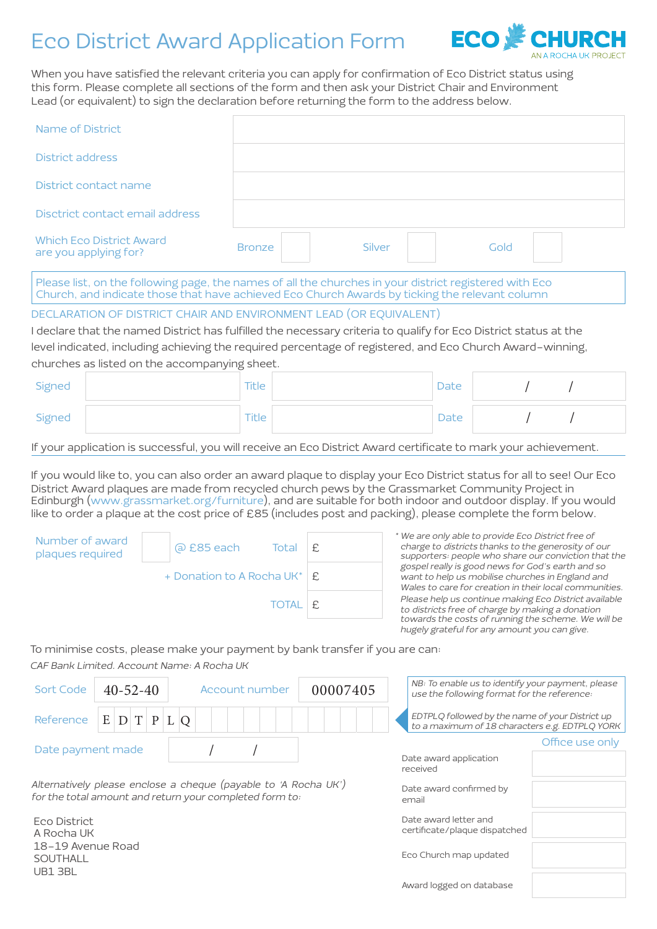## Eco District Award Application Form



When you have satisfied the relevant criteria you can apply for confirmation of Eco District status using this form. Please complete all sections of the form and then ask your District Chair and Environment Lead (or equivalent) to sign the declaration before returning the form to the address below.

| Name of District                                                                                                                                                                                                                                                                                                                                                                                                                                           |                                                                                                                                                                                                                                      |              |          |          |                        |                                                                                                  |  |                                                                                                              |
|------------------------------------------------------------------------------------------------------------------------------------------------------------------------------------------------------------------------------------------------------------------------------------------------------------------------------------------------------------------------------------------------------------------------------------------------------------|--------------------------------------------------------------------------------------------------------------------------------------------------------------------------------------------------------------------------------------|--------------|----------|----------|------------------------|--------------------------------------------------------------------------------------------------|--|--------------------------------------------------------------------------------------------------------------|
| District address                                                                                                                                                                                                                                                                                                                                                                                                                                           |                                                                                                                                                                                                                                      |              |          |          |                        |                                                                                                  |  |                                                                                                              |
| District contact name                                                                                                                                                                                                                                                                                                                                                                                                                                      |                                                                                                                                                                                                                                      |              |          |          |                        |                                                                                                  |  |                                                                                                              |
| Disctrict contact email address                                                                                                                                                                                                                                                                                                                                                                                                                            |                                                                                                                                                                                                                                      |              |          |          |                        |                                                                                                  |  |                                                                                                              |
| <b>Which Eco District Award</b><br>are you applying for?                                                                                                                                                                                                                                                                                                                                                                                                   | <b>Bronze</b>                                                                                                                                                                                                                        |              | Silver   |          |                        | Gold                                                                                             |  |                                                                                                              |
| Please list, on the following page, the names of all the churches in your district registered with Eco<br>Church, and indicate those that have achieved Eco Church Awards by ticking the relevant column                                                                                                                                                                                                                                                   |                                                                                                                                                                                                                                      |              |          |          |                        |                                                                                                  |  |                                                                                                              |
| DECLARATION OF DISTRICT CHAIR AND ENVIRONMENT LEAD (OR EQUIVALENT)<br>I declare that the named District has fulfilled the necessary criteria to qualify for Eco District status at the<br>level indicated, including achieving the required percentage of registered, and Eco Church Award-winning,<br>churches as listed on the accompanying sheet.                                                                                                       |                                                                                                                                                                                                                                      |              |          |          |                        |                                                                                                  |  |                                                                                                              |
| Signed                                                                                                                                                                                                                                                                                                                                                                                                                                                     | <b>Title</b>                                                                                                                                                                                                                         |              |          |          | Date                   |                                                                                                  |  |                                                                                                              |
| Signed                                                                                                                                                                                                                                                                                                                                                                                                                                                     | Title                                                                                                                                                                                                                                |              |          |          | Date                   |                                                                                                  |  |                                                                                                              |
| If your application is successful, you will receive an Eco District Award certificate to mark your achievement.                                                                                                                                                                                                                                                                                                                                            |                                                                                                                                                                                                                                      |              |          |          |                        |                                                                                                  |  |                                                                                                              |
| If you would like to, you can also order an award plaque to display your Eco District status for all to see! Our Eco<br>District Award plaques are made from recycled church pews by the Grassmarket Community Project in<br>Edinburgh (www.grassmarket.org/furniture), and are suitable for both indoor and outdoor display. If you would<br>like to order a plaque at the cost price of £85 (includes post and packing), please complete the form below. |                                                                                                                                                                                                                                      |              |          |          |                        |                                                                                                  |  |                                                                                                              |
| Number of award<br>@ £85 each<br>plaques required                                                                                                                                                                                                                                                                                                                                                                                                          | * We are only able to provide Eco District free of<br>charge to districts thanks to the generosity of our<br>£<br>Total<br>supporters: people who share our conviction that the<br>gospel really is good news for God's earth and so |              |          |          |                        |                                                                                                  |  |                                                                                                              |
| + Donation to A Rocha UK*                                                                                                                                                                                                                                                                                                                                                                                                                                  |                                                                                                                                                                                                                                      |              | £        |          |                        | want to help us mobilise churches in England and                                                 |  | Wales to care for creation in their local communities.                                                       |
|                                                                                                                                                                                                                                                                                                                                                                                                                                                            |                                                                                                                                                                                                                                      | <b>TOTAL</b> | E        |          |                        | to districts free of charge by making a donation<br>hugely grateful for any amount you can give. |  | Please help us continue making Eco District available<br>towards the costs of running the scheme. We will be |
| To minimise costs, please make your payment by bank transfer if you are can:<br>CAF Bank Limited. Account Name: A Rocha UK                                                                                                                                                                                                                                                                                                                                 |                                                                                                                                                                                                                                      |              |          |          |                        |                                                                                                  |  |                                                                                                              |
| $40 - 52 - 40$<br>Sort Code                                                                                                                                                                                                                                                                                                                                                                                                                                | Account number                                                                                                                                                                                                                       |              | 00007405 |          |                        | use the following format for the reference:                                                      |  | NB: To enable us to identify your payment, please                                                            |
| Reference<br>D T P L Q<br>E <sub>1</sub>                                                                                                                                                                                                                                                                                                                                                                                                                   |                                                                                                                                                                                                                                      |              |          |          |                        | EDTPLQ followed by the name of your District up                                                  |  | to a maximum of 18 characters e.g. EDTPLQ YORK                                                               |
| Date payment made                                                                                                                                                                                                                                                                                                                                                                                                                                          |                                                                                                                                                                                                                                      |              |          | received | Date award application |                                                                                                  |  | Office use only                                                                                              |

Alternatively please enclose a cheque (payable to 'A Rocha UK') for the total amount and return your completed form to:

Eco District A Rocha UK 18-19 Avenue Road SOUTHALL UB1 3BL

Date award confirmed by email

Date award letter and certificate/plaque dispatched

Eco Church map updated

Award logged on database